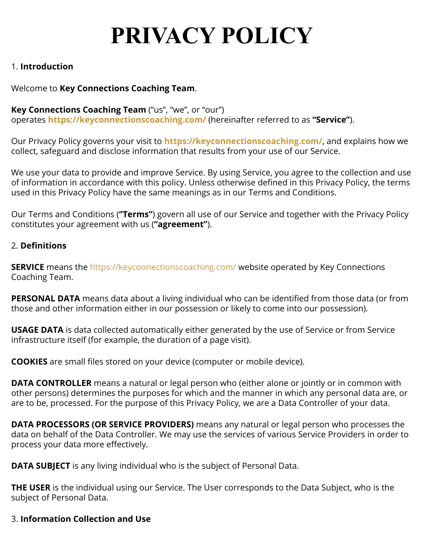# **PRIVACY POLICY**

## 1. **Introduction**

# Welcome to **Key Connections Coaching Team**.

# **Key Connections Coaching Team** ("us", "we", or "our")

operates **<https://keyconnectionscoaching.com/>** (hereinafter referred to as **"Service"**).

Our Privacy Policy governs your visit to **<https://keyconnectionscoaching.com/>**, and explains how we collect, safeguard and disclose information that results from your use of our Service.

We use your data to provide and improve Service. By using Service, you agree to the collection and use of information in accordance with this policy. Unless otherwise defined in this Privacy Policy, the terms used in this Privacy Policy have the same meanings as in our Terms and Conditions.

Our Terms and Conditions (**"Terms"**) govern all use of our Service and together with the Privacy Policy constitutes your agreement with us (**"agreement"**).

## 2. **Definitions**

**SERVICE** means the <https://keyconnectionscoaching.com/> website operated by Key Connections Coaching Team.

**PERSONAL DATA** means data about a living individual who can be identified from those data (or from those and other information either in our possession or likely to come into our possession).

**USAGE DATA** is data collected automatically either generated by the use of Service or from Service infrastructure itself (for example, the duration of a page visit).

**COOKIES** are small files stored on your device (computer or mobile device).

**DATA CONTROLLER** means a natural or legal person who (either alone or jointly or in common with other persons) determines the purposes for which and the manner in which any personal data are, or are to be, processed. For the purpose of this Privacy Policy, we are a Data Controller of your data.

**DATA PROCESSORS (OR SERVICE PROVIDERS)** means any natural or legal person who processes the data on behalf of the Data Controller. We may use the services of various Service Providers in order to process your data more effectively.

**DATA SUBJECT** is any living individual who is the subject of Personal Data.

**THE USER** is the individual using our Service. The User corresponds to the Data Subject, who is the subject of Personal Data.

## 3. **Information Collection and Use**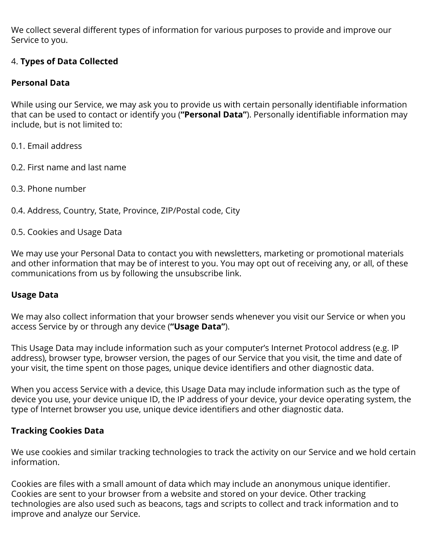We collect several different types of information for various purposes to provide and improve our Service to you.

# 4. **Types of Data Collected**

## **Personal Data**

While using our Service, we may ask you to provide us with certain personally identifiable information that can be used to contact or identify you (**"Personal Data"**). Personally identifiable information may include, but is not limited to:

- 0.1. Email address
- 0.2. First name and last name
- 0.3. Phone number
- 0.4. Address, Country, State, Province, ZIP/Postal code, City
- 0.5. Cookies and Usage Data

We may use your Personal Data to contact you with newsletters, marketing or promotional materials and other information that may be of interest to you. You may opt out of receiving any, or all, of these communications from us by following the unsubscribe link.

## **Usage Data**

We may also collect information that your browser sends whenever you visit our Service or when you access Service by or through any device (**"Usage Data"**).

This Usage Data may include information such as your computer's Internet Protocol address (e.g. IP address), browser type, browser version, the pages of our Service that you visit, the time and date of your visit, the time spent on those pages, unique device identifiers and other diagnostic data.

When you access Service with a device, this Usage Data may include information such as the type of device you use, your device unique ID, the IP address of your device, your device operating system, the type of Internet browser you use, unique device identifiers and other diagnostic data.

## **Tracking Cookies Data**

We use cookies and similar tracking technologies to track the activity on our Service and we hold certain information.

Cookies are files with a small amount of data which may include an anonymous unique identifier. Cookies are sent to your browser from a website and stored on your device. Other tracking technologies are also used such as beacons, tags and scripts to collect and track information and to improve and analyze our Service.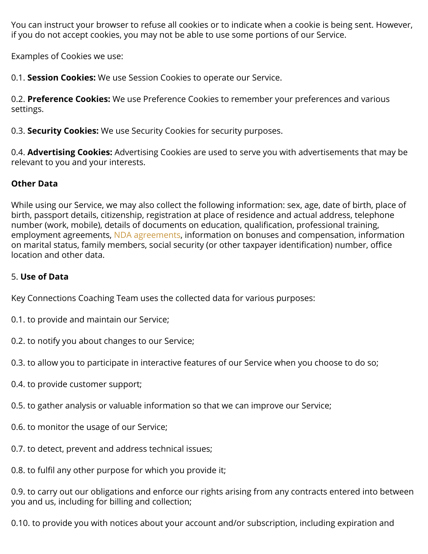You can instruct your browser to refuse all cookies or to indicate when a cookie is being sent. However, if you do not accept cookies, you may not be able to use some portions of our Service.

Examples of Cookies we use:

0.1. **Session Cookies:** We use Session Cookies to operate our Service.

0.2. **Preference Cookies:** We use Preference Cookies to remember your preferences and various settings.

0.3. **Security Cookies:** We use Security Cookies for security purposes.

0.4. **Advertising Cookies:** Advertising Cookies are used to serve you with advertisements that may be relevant to you and your interests.

# **Other Data**

While using our Service, we may also collect the following information: sex, age, date of birth, place of birth, passport details, citizenship, registration at place of residence and actual address, telephone number (work, mobile), details of documents on education, qualification, professional training, employment agreements, [NDA agreements](https://policymaker.io/non-disclosure-agreement/), information on bonuses and compensation, information on marital status, family members, social security (or other taxpayer identification) number, office location and other data.

# 5. **Use of Data**

Key Connections Coaching Team uses the collected data for various purposes:

- 0.1. to provide and maintain our Service;
- 0.2. to notify you about changes to our Service;
- 0.3. to allow you to participate in interactive features of our Service when you choose to do so;
- 0.4. to provide customer support;
- 0.5. to gather analysis or valuable information so that we can improve our Service;
- 0.6. to monitor the usage of our Service;
- 0.7. to detect, prevent and address technical issues;
- 0.8. to fulfil any other purpose for which you provide it;

0.9. to carry out our obligations and enforce our rights arising from any contracts entered into between you and us, including for billing and collection;

0.10. to provide you with notices about your account and/or subscription, including expiration and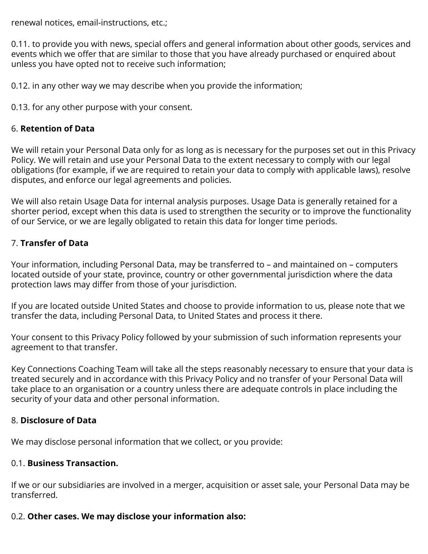renewal notices, email-instructions, etc.;

0.11. to provide you with news, special offers and general information about other goods, services and events which we offer that are similar to those that you have already purchased or enquired about unless you have opted not to receive such information;

0.12. in any other way we may describe when you provide the information;

0.13. for any other purpose with your consent.

#### 6. **Retention of Data**

We will retain your Personal Data only for as long as is necessary for the purposes set out in this Privacy Policy. We will retain and use your Personal Data to the extent necessary to comply with our legal obligations (for example, if we are required to retain your data to comply with applicable laws), resolve disputes, and enforce our legal agreements and policies.

We will also retain Usage Data for internal analysis purposes. Usage Data is generally retained for a shorter period, except when this data is used to strengthen the security or to improve the functionality of our Service, or we are legally obligated to retain this data for longer time periods.

## 7. **Transfer of Data**

Your information, including Personal Data, may be transferred to – and maintained on – computers located outside of your state, province, country or other governmental jurisdiction where the data protection laws may differ from those of your jurisdiction.

If you are located outside United States and choose to provide information to us, please note that we transfer the data, including Personal Data, to United States and process it there.

Your consent to this Privacy Policy followed by your submission of such information represents your agreement to that transfer.

Key Connections Coaching Team will take all the steps reasonably necessary to ensure that your data is treated securely and in accordance with this Privacy Policy and no transfer of your Personal Data will take place to an organisation or a country unless there are adequate controls in place including the security of your data and other personal information.

#### 8. **Disclosure of Data**

We may disclose personal information that we collect, or you provide:

#### 0.1. **Business Transaction.**

If we or our subsidiaries are involved in a merger, acquisition or asset sale, your Personal Data may be transferred.

#### 0.2. **Other cases. We may disclose your information also:**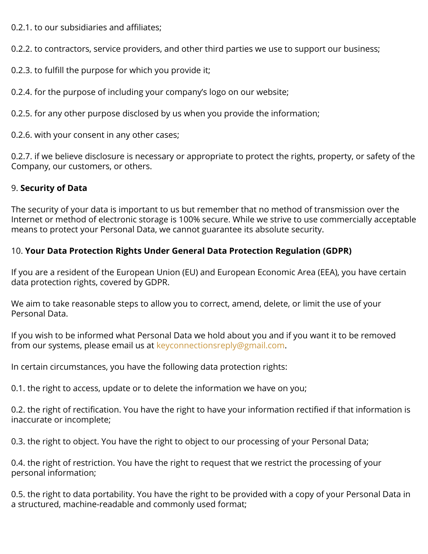0.2.1. to our subsidiaries and affiliates;

0.2.2. to contractors, service providers, and other third parties we use to support our business;

0.2.3. to fulfill the purpose for which you provide it;

0.2.4. for the purpose of including your company's logo on our website;

0.2.5. for any other purpose disclosed by us when you provide the information;

0.2.6. with your consent in any other cases;

0.2.7. if we believe disclosure is necessary or appropriate to protect the rights, property, or safety of the Company, our customers, or others.

# 9. **Security of Data**

The security of your data is important to us but remember that no method of transmission over the Internet or method of electronic storage is 100% secure. While we strive to use commercially acceptable means to protect your Personal Data, we cannot guarantee its absolute security.

# 10. **Your Data Protection Rights Under General Data Protection Regulation (GDPR)**

If you are a resident of the European Union (EU) and European Economic Area (EEA), you have certain data protection rights, covered by GDPR.

We aim to take reasonable steps to allow you to correct, amend, delete, or limit the use of your Personal Data.

If you wish to be informed what Personal Data we hold about you and if you want it to be removed from our systems, please email us at [keyconnectionsreply@gmail.com](mailto:keyconnectionsreply@gmail.com).

In certain circumstances, you have the following data protection rights:

0.1. the right to access, update or to delete the information we have on you;

0.2. the right of rectification. You have the right to have your information rectified if that information is inaccurate or incomplete;

0.3. the right to object. You have the right to object to our processing of your Personal Data;

0.4. the right of restriction. You have the right to request that we restrict the processing of your personal information;

0.5. the right to data portability. You have the right to be provided with a copy of your Personal Data in a structured, machine-readable and commonly used format;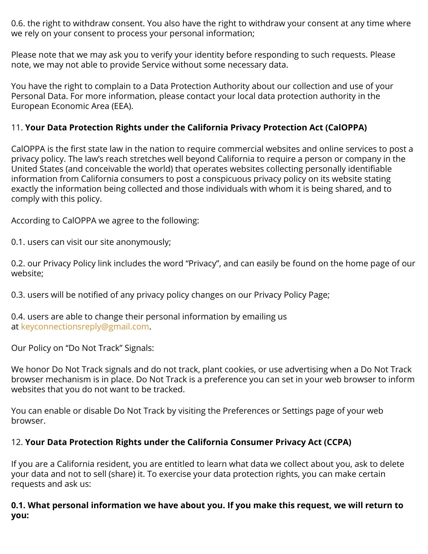0.6. the right to withdraw consent. You also have the right to withdraw your consent at any time where we rely on your consent to process your personal information;

Please note that we may ask you to verify your identity before responding to such requests. Please note, we may not able to provide Service without some necessary data.

You have the right to complain to a Data Protection Authority about our collection and use of your Personal Data. For more information, please contact your local data protection authority in the European Economic Area (EEA).

# 11. **Your Data Protection Rights under the California Privacy Protection Act (CalOPPA)**

CalOPPA is the first state law in the nation to require commercial websites and online services to post a privacy policy. The law's reach stretches well beyond California to require a person or company in the United States (and conceivable the world) that operates websites collecting personally identifiable information from California consumers to post a conspicuous privacy policy on its website stating exactly the information being collected and those individuals with whom it is being shared, and to comply with this policy.

According to CalOPPA we agree to the following:

0.1. users can visit our site anonymously;

0.2. our Privacy Policy link includes the word "Privacy", and can easily be found on the home page of our website;

0.3. users will be notified of any privacy policy changes on our Privacy Policy Page;

0.4. users are able to change their personal information by emailing us at [keyconnectionsreply@gmail.com](mailto:keyconnectionsreply@gmail.com).

Our Policy on "Do Not Track" Signals:

We honor Do Not Track signals and do not track, plant cookies, or use advertising when a Do Not Track browser mechanism is in place. Do Not Track is a preference you can set in your web browser to inform websites that you do not want to be tracked.

You can enable or disable Do Not Track by visiting the Preferences or Settings page of your web browser.

## 12. **Your Data Protection Rights under the California Consumer Privacy Act (CCPA)**

If you are a California resident, you are entitled to learn what data we collect about you, ask to delete your data and not to sell (share) it. To exercise your data protection rights, you can make certain requests and ask us:

#### **0.1. What personal information we have about you. If you make this request, we will return to you:**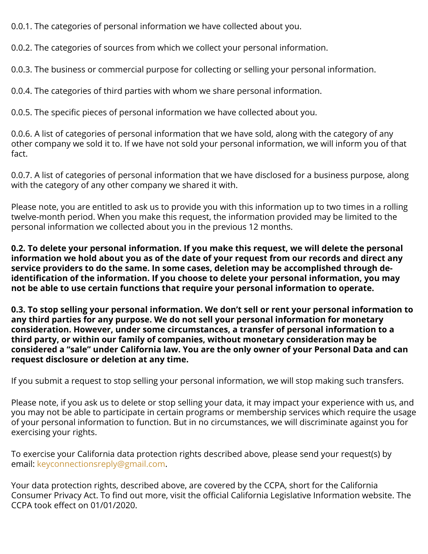0.0.1. The categories of personal information we have collected about you.

0.0.2. The categories of sources from which we collect your personal information.

0.0.3. The business or commercial purpose for collecting or selling your personal information.

0.0.4. The categories of third parties with whom we share personal information.

0.0.5. The specific pieces of personal information we have collected about you.

0.0.6. A list of categories of personal information that we have sold, along with the category of any other company we sold it to. If we have not sold your personal information, we will inform you of that fact.

0.0.7. A list of categories of personal information that we have disclosed for a business purpose, along with the category of any other company we shared it with.

Please note, you are entitled to ask us to provide you with this information up to two times in a rolling twelve-month period. When you make this request, the information provided may be limited to the personal information we collected about you in the previous 12 months.

**0.2. To delete your personal information. If you make this request, we will delete the personal information we hold about you as of the date of your request from our records and direct any service providers to do the same. In some cases, deletion may be accomplished through deidentification of the information. If you choose to delete your personal information, you may not be able to use certain functions that require your personal information to operate.**

**0.3. To stop selling your personal information. We don't sell or rent your personal information to any third parties for any purpose. We do not sell your personal information for monetary consideration. However, under some circumstances, a transfer of personal information to a third party, or within our family of companies, without monetary consideration may be considered a "sale" under California law. You are the only owner of your Personal Data and can request disclosure or deletion at any time.**

If you submit a request to stop selling your personal information, we will stop making such transfers.

Please note, if you ask us to delete or stop selling your data, it may impact your experience with us, and you may not be able to participate in certain programs or membership services which require the usage of your personal information to function. But in no circumstances, we will discriminate against you for exercising your rights.

To exercise your California data protection rights described above, please send your request(s) by email: [keyconnectionsreply@gmail.com](mailto:keyconnectionsreply@gmail.com).

Your data protection rights, described above, are covered by the CCPA, short for the California Consumer Privacy Act. To find out more, visit the official California Legislative Information website. The CCPA took effect on 01/01/2020.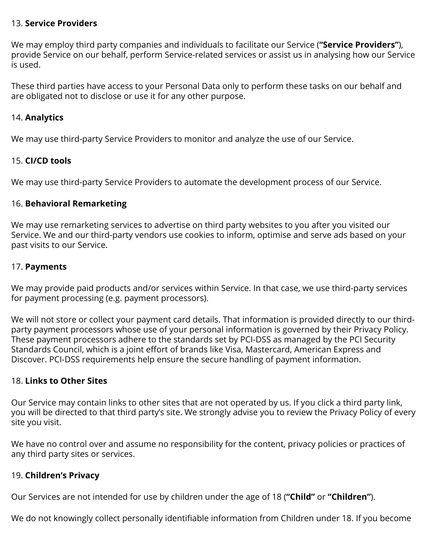## 13. **Service Providers**

We may employ third party companies and individuals to facilitate our Service (**"Service Providers"**), provide Service on our behalf, perform Service-related services or assist us in analysing how our Service is used.

These third parties have access to your Personal Data only to perform these tasks on our behalf and are obligated not to disclose or use it for any other purpose.

### 14. **Analytics**

We may use third-party Service Providers to monitor and analyze the use of our Service.

## 15. **CI/CD tools**

We may use third-party Service Providers to automate the development process of our Service.

## 16. **Behavioral Remarketing**

We may use remarketing services to advertise on third party websites to you after you visited our Service. We and our third-party vendors use cookies to inform, optimise and serve ads based on your past visits to our Service.

## 17. **Payments**

We may provide paid products and/or services within Service. In that case, we use third-party services for payment processing (e.g. payment processors).

We will not store or collect your payment card details. That information is provided directly to our thirdparty payment processors whose use of your personal information is governed by their Privacy Policy. These payment processors adhere to the standards set by PCI-DSS as managed by the PCI Security Standards Council, which is a joint effort of brands like Visa, Mastercard, American Express and Discover. PCI-DSS requirements help ensure the secure handling of payment information.

#### 18. **Links to Other Sites**

Our Service may contain links to other sites that are not operated by us. If you click a third party link, you will be directed to that third party's site. We strongly advise you to review the Privacy Policy of every site you visit.

We have no control over and assume no responsibility for the content, privacy policies or practices of any third party sites or services.

## 19. **Children's Privacy**

Our Services are not intended for use by children under the age of 18 (**"Child"** or **"Children"**).

We do not knowingly collect personally identifiable information from Children under 18. If you become